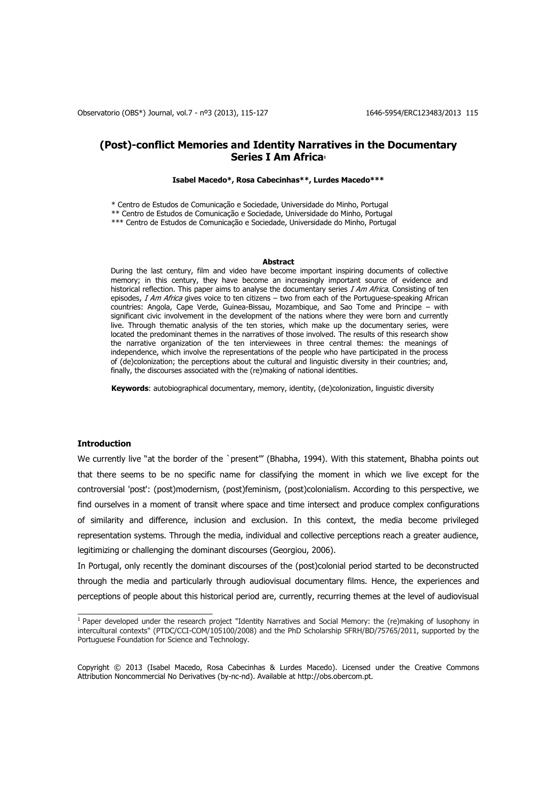# **(Post)-conflict Memories and Identity Narratives in the Documentary Series I Am Africa<sup>1</sup>**

#### **Isabel Macedo\*, Rosa Cabecinhas\*\*, Lurdes Macedo\*\*\***

\* Centro de Estudos de Comunicação e Sociedade, Universidade do Minho, Portugal

\*\* Centro de Estudos de Comunicação e Sociedade, Universidade do Minho, Portugal

\*\*\* Centro de Estudos de Comunicação e Sociedade, Universidade do Minho, Portugal

#### **Abstract**

During the last century, film and video have become important inspiring documents of collective memory; in this century, they have become an increasingly important source of evidence and historical reflection. This paper aims to analyse the documentary series  $I$  Am Africa. Consisting of ten episodes, I Am Africa gives voice to ten citizens – two from each of the Portuguese-speaking African countries: Angola, Cape Verde, Guinea-Bissau, Mozambique, and Sao Tome and Principe – with significant civic involvement in the development of the nations where they were born and currently live. Through thematic analysis of the ten stories, which make up the documentary series, were located the predominant themes in the narratives of those involved. The results of this research show the narrative organization of the ten interviewees in three central themes: the meanings of independence, which involve the representations of the people who have participated in the process of (de)colonization; the perceptions about the cultural and linguistic diversity in their countries; and, finally, the discourses associated with the (re)making of national identities.

**Keywords**: autobiographical documentary, memory, identity, (de)colonization, linguistic diversity

# **Introduction**

We currently live "at the border of the `present"' (Bhabha, 1994). With this statement, Bhabha points out that there seems to be no specific name for classifying the moment in which we live except for the controversial 'post': (post)modernism, (post)feminism, (post)colonialism. According to this perspective, we find ourselves in a moment of transit where space and time intersect and produce complex configurations of similarity and difference, inclusion and exclusion. In this context, the media become privileged representation systems. Through the media, individual and collective perceptions reach a greater audience, legitimizing or challenging the dominant discourses (Georgiou, 2006).

In Portugal, only recently the dominant discourses of the (post)colonial period started to be deconstructed through the media and particularly through audiovisual documentary films. Hence, the experiences and perceptions of people about this historical period are, currently, recurring themes at the level of audiovisual

 1 Paper developed under the research project "Identity Narratives and Social Memory: the (re)making of lusophony in intercultural contexts" (PTDC/CCI-COM/105100/2008) and the PhD Scholarship SFRH/BD/75765/2011, supported by the Portuguese Foundation for Science and Technology.

Copyright © 2013 (Isabel Macedo, Rosa Cabecinhas & Lurdes Macedo). Licensed under the Creative Commons Attribution Noncommercial No Derivatives (by-nc-nd). Available at http://obs.obercom.pt.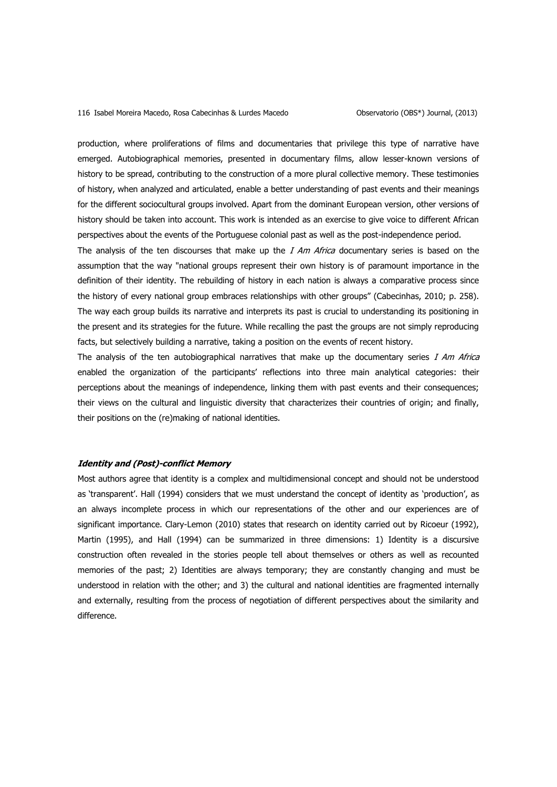production, where proliferations of films and documentaries that privilege this type of narrative have emerged. Autobiographical memories, presented in documentary films, allow lesser-known versions of history to be spread, contributing to the construction of a more plural collective memory. These testimonies of history, when analyzed and articulated, enable a better understanding of past events and their meanings for the different sociocultural groups involved. Apart from the dominant European version, other versions of history should be taken into account. This work is intended as an exercise to give voice to different African perspectives about the events of the Portuguese colonial past as well as the post-independence period.

The analysis of the ten discourses that make up the  $I$  Am Africa documentary series is based on the assumption that the way "national groups represent their own history is of paramount importance in the definition of their identity. The rebuilding of history in each nation is always a comparative process since the history of every national group embraces relationships with other groups" (Cabecinhas, 2010; p. 258). The way each group builds its narrative and interprets its past is crucial to understanding its positioning in the present and its strategies for the future. While recalling the past the groups are not simply reproducing facts, but selectively building a narrative, taking a position on the events of recent history.

The analysis of the ten autobiographical narratives that make up the documentary series I Am Africa enabled the organization of the participants' reflections into three main analytical categories: their perceptions about the meanings of independence, linking them with past events and their consequences; their views on the cultural and linguistic diversity that characterizes their countries of origin; and finally, their positions on the (re)making of national identities.

# **Identity and (Post)-conflict Memory**

Most authors agree that identity is a complex and multidimensional concept and should not be understood as 'transparent'. Hall (1994) considers that we must understand the concept of identity as 'production', as an always incomplete process in which our representations of the other and our experiences are of significant importance. Clary-Lemon (2010) states that research on identity carried out by Ricoeur (1992), Martin (1995), and Hall (1994) can be summarized in three dimensions: 1) Identity is a discursive construction often revealed in the stories people tell about themselves or others as well as recounted memories of the past; 2) Identities are always temporary; they are constantly changing and must be understood in relation with the other; and 3) the cultural and national identities are fragmented internally and externally, resulting from the process of negotiation of different perspectives about the similarity and difference.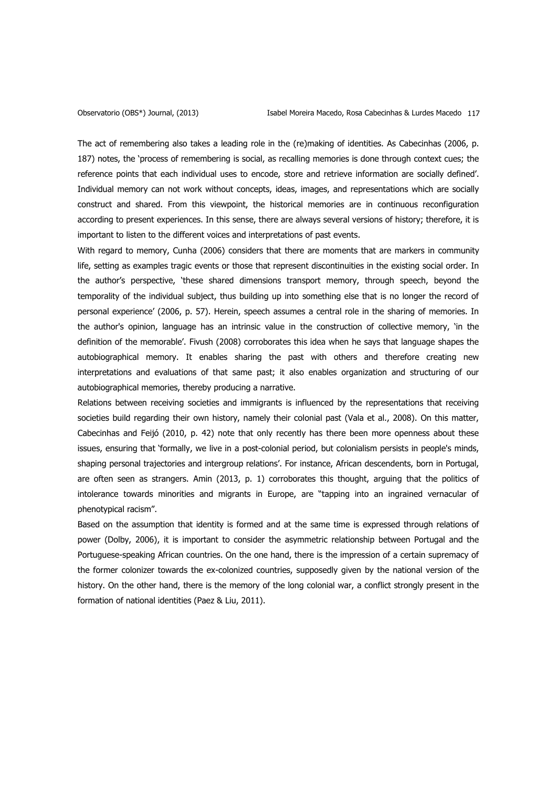The act of remembering also takes a leading role in the (re)making of identities. As Cabecinhas (2006, p. 187) notes, the 'process of remembering is social, as recalling memories is done through context cues; the reference points that each individual uses to encode, store and retrieve information are socially defined'. Individual memory can not work without concepts, ideas, images, and representations which are socially construct and shared. From this viewpoint, the historical memories are in continuous reconfiguration according to present experiences. In this sense, there are always several versions of history; therefore, it is important to listen to the different voices and interpretations of past events.

With regard to memory, Cunha (2006) considers that there are moments that are markers in community life, setting as examples tragic events or those that represent discontinuities in the existing social order. In the author's perspective, 'these shared dimensions transport memory, through speech, beyond the temporality of the individual subject, thus building up into something else that is no longer the record of personal experience' (2006, p. 57). Herein, speech assumes a central role in the sharing of memories. In the author's opinion, language has an intrinsic value in the construction of collective memory, 'in the definition of the memorable'. Fivush (2008) corroborates this idea when he says that language shapes the autobiographical memory. It enables sharing the past with others and therefore creating new interpretations and evaluations of that same past; it also enables organization and structuring of our autobiographical memories, thereby producing a narrative.

Relations between receiving societies and immigrants is influenced by the representations that receiving societies build regarding their own history, namely their colonial past (Vala et al., 2008). On this matter, Cabecinhas and Feijó (2010, p. 42) note that only recently has there been more openness about these issues, ensuring that 'formally, we live in a post-colonial period, but colonialism persists in people's minds, shaping personal trajectories and intergroup relations'. For instance, African descendents, born in Portugal, are often seen as strangers. Amin (2013, p. 1) corroborates this thought, arguing that the politics of intolerance towards minorities and migrants in Europe, are "tapping into an ingrained vernacular of phenotypical racism".

Based on the assumption that identity is formed and at the same time is expressed through relations of power (Dolby, 2006), it is important to consider the asymmetric relationship between Portugal and the Portuguese-speaking African countries. On the one hand, there is the impression of a certain supremacy of the former colonizer towards the ex-colonized countries, supposedly given by the national version of the history. On the other hand, there is the memory of the long colonial war, a conflict strongly present in the formation of national identities (Paez & Liu, 2011).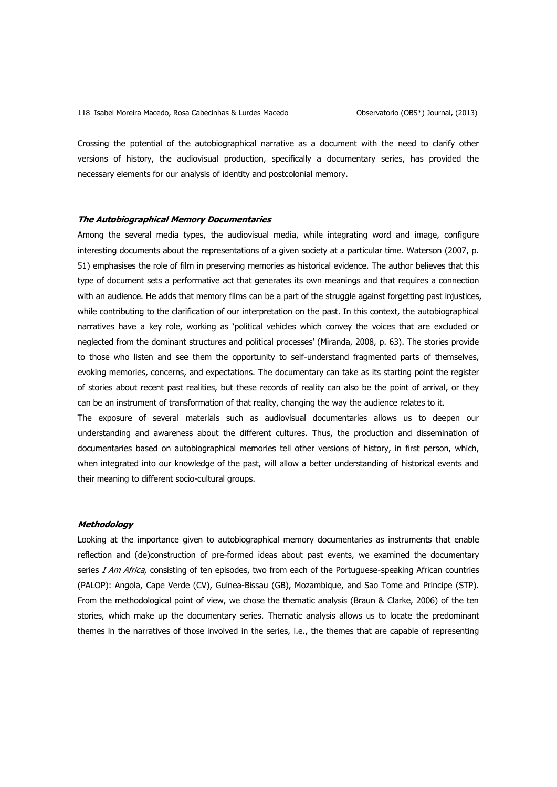Crossing the potential of the autobiographical narrative as a document with the need to clarify other versions of history, the audiovisual production, specifically a documentary series, has provided the necessary elements for our analysis of identity and postcolonial memory.

# **The Autobiographical Memory Documentaries**

Among the several media types, the audiovisual media, while integrating word and image, configure interesting documents about the representations of a given society at a particular time. Waterson (2007, p. 51) emphasises the role of film in preserving memories as historical evidence. The author believes that this type of document sets a performative act that generates its own meanings and that requires a connection with an audience. He adds that memory films can be a part of the struggle against forgetting past injustices, while contributing to the clarification of our interpretation on the past. In this context, the autobiographical narratives have a key role, working as 'political vehicles which convey the voices that are excluded or neglected from the dominant structures and political processes' (Miranda, 2008, p. 63). The stories provide to those who listen and see them the opportunity to self-understand fragmented parts of themselves, evoking memories, concerns, and expectations. The documentary can take as its starting point the register of stories about recent past realities, but these records of reality can also be the point of arrival, or they can be an instrument of transformation of that reality, changing the way the audience relates to it.

The exposure of several materials such as audiovisual documentaries allows us to deepen our understanding and awareness about the different cultures. Thus, the production and dissemination of documentaries based on autobiographical memories tell other versions of history, in first person, which, when integrated into our knowledge of the past, will allow a better understanding of historical events and their meaning to different socio-cultural groups.

### **Methodology**

Looking at the importance given to autobiographical memory documentaries as instruments that enable reflection and (de)construction of pre-formed ideas about past events, we examined the documentary series I Am Africa, consisting of ten episodes, two from each of the Portuguese-speaking African countries (PALOP): Angola, Cape Verde (CV), Guinea-Bissau (GB), Mozambique, and Sao Tome and Principe (STP). From the methodological point of view, we chose the thematic analysis (Braun & Clarke, 2006) of the ten stories, which make up the documentary series. Thematic analysis allows us to locate the predominant themes in the narratives of those involved in the series, i.e., the themes that are capable of representing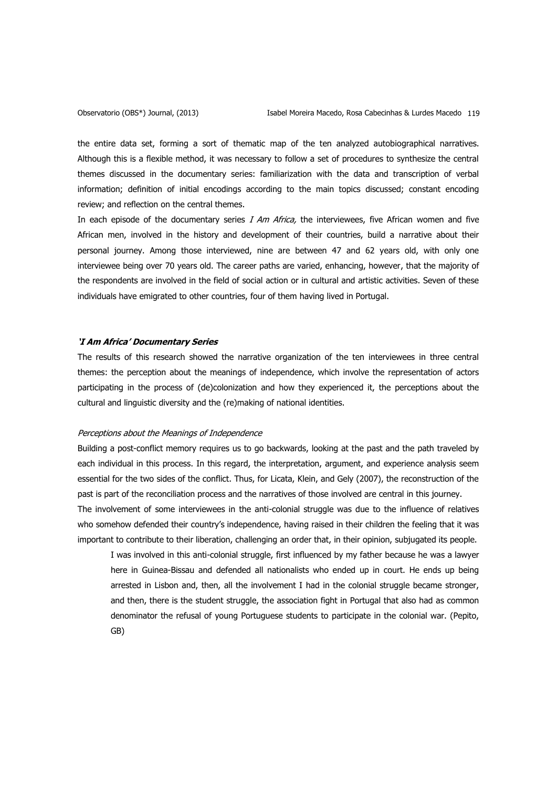the entire data set, forming a sort of thematic map of the ten analyzed autobiographical narratives. Although this is a flexible method, it was necessary to follow a set of procedures to synthesize the central themes discussed in the documentary series: familiarization with the data and transcription of verbal information; definition of initial encodings according to the main topics discussed; constant encoding review; and reflection on the central themes.

In each episode of the documentary series  $I$  Am Africa, the interviewees, five African women and five African men, involved in the history and development of their countries, build a narrative about their personal journey. Among those interviewed, nine are between 47 and 62 years old, with only one interviewee being over 70 years old. The career paths are varied, enhancing, however, that the majority of the respondents are involved in the field of social action or in cultural and artistic activities. Seven of these individuals have emigrated to other countries, four of them having lived in Portugal.

# **'I Am Africa' Documentary Series**

The results of this research showed the narrative organization of the ten interviewees in three central themes: the perception about the meanings of independence, which involve the representation of actors participating in the process of (de)colonization and how they experienced it, the perceptions about the cultural and linguistic diversity and the (re)making of national identities.

### Perceptions about the Meanings of Independence

Building a post-conflict memory requires us to go backwards, looking at the past and the path traveled by each individual in this process. In this regard, the interpretation, argument, and experience analysis seem essential for the two sides of the conflict. Thus, for Licata, Klein, and Gely (2007), the reconstruction of the past is part of the reconciliation process and the narratives of those involved are central in this journey.

The involvement of some interviewees in the anti-colonial struggle was due to the influence of relatives who somehow defended their country's independence, having raised in their children the feeling that it was important to contribute to their liberation, challenging an order that, in their opinion, subjugated its people.

I was involved in this anti-colonial struggle, first influenced by my father because he was a lawyer here in Guinea-Bissau and defended all nationalists who ended up in court. He ends up being arrested in Lisbon and, then, all the involvement I had in the colonial struggle became stronger, and then, there is the student struggle, the association fight in Portugal that also had as common denominator the refusal of young Portuguese students to participate in the colonial war. (Pepito, GB)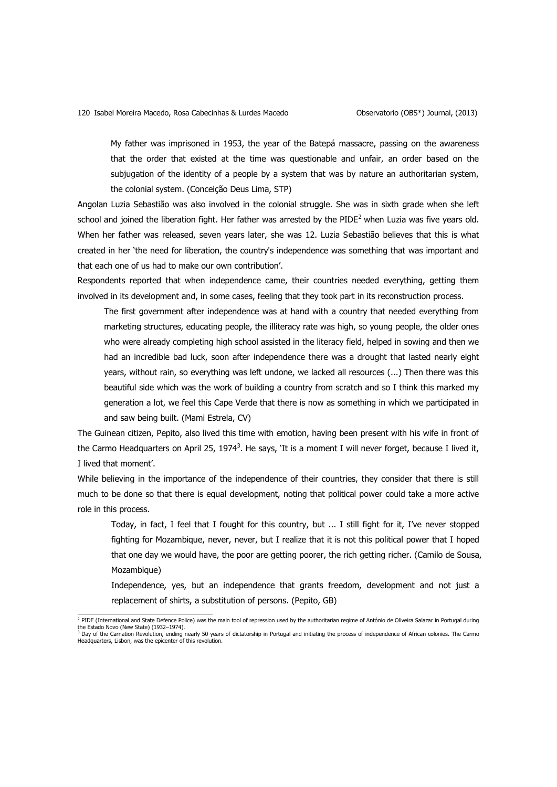My father was imprisoned in 1953, the year of the Batepá massacre, passing on the awareness that the order that existed at the time was questionable and unfair, an order based on the subjugation of the identity of a people by a system that was by nature an authoritarian system, the colonial system. (Conceição Deus Lima, STP)

Angolan Luzia Sebastião was also involved in the colonial struggle. She was in sixth grade when she left school and joined the liberation fight. Her father was arrested by the PIDE<sup>2</sup> when Luzia was five years old. When her father was released, seven years later, she was 12. Luzia Sebastião believes that this is what created in her 'the need for liberation, the country's independence was something that was important and that each one of us had to make our own contribution'.

Respondents reported that when independence came, their countries needed everything, getting them involved in its development and, in some cases, feeling that they took part in its reconstruction process.

The first government after independence was at hand with a country that needed everything from marketing structures, educating people, the illiteracy rate was high, so young people, the older ones who were already completing high school assisted in the literacy field, helped in sowing and then we had an incredible bad luck, soon after independence there was a drought that lasted nearly eight years, without rain, so everything was left undone, we lacked all resources (...) Then there was this beautiful side which was the work of building a country from scratch and so I think this marked my generation a lot, we feel this Cape Verde that there is now as something in which we participated in and saw being built. (Mami Estrela, CV)

The Guinean citizen, Pepito, also lived this time with emotion, having been present with his wife in front of the Carmo Headquarters on April 25, 1974<sup>3</sup>. He says, `It is a moment I will never forget, because I lived it, I lived that moment'.

While believing in the importance of the independence of their countries, they consider that there is still much to be done so that there is equal development, noting that political power could take a more active role in this process.

Today, in fact, I feel that I fought for this country, but ... I still fight for it, I've never stopped fighting for Mozambique, never, never, but I realize that it is not this political power that I hoped that one day we would have, the poor are getting poorer, the rich getting richer. (Camilo de Sousa, Mozambique)

Independence, yes, but an independence that grants freedom, development and not just a replacement of shirts, a substitution of persons. (Pepito, GB)

 2 PIDE (International and State Defence Police) was the main tool of repression used by the authoritarian regime of António de Oliveira Salazar in Portugal during the Estado Novo (New State) (1932–1974).<br><sup>3</sup> Day of the Carnation Revolution, ending nearly 50 years of dictatorship in Portugal and initiating the process of independence of African colonies. The Carmo<br>Headquarters, Lisbo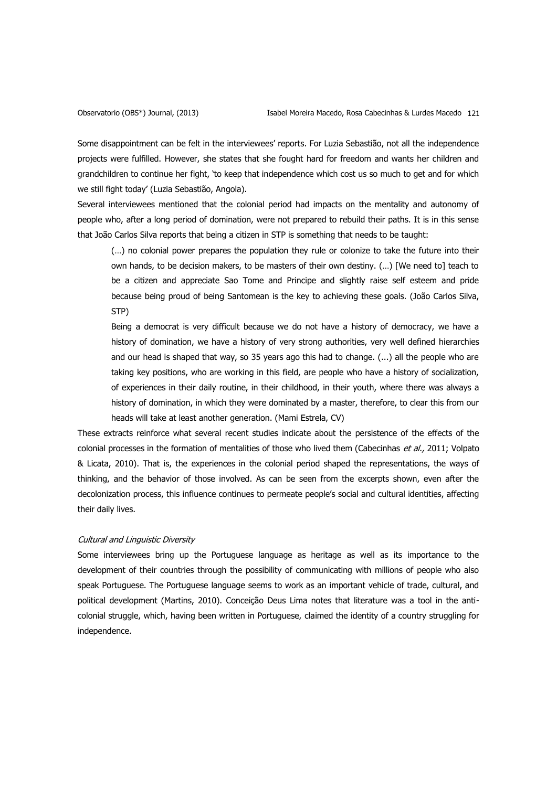Some disappointment can be felt in the interviewees' reports. For Luzia Sebastião, not all the independence projects were fulfilled. However, she states that she fought hard for freedom and wants her children and grandchildren to continue her fight, 'to keep that independence which cost us so much to get and for which we still fight today' (Luzia Sebastião, Angola).

Several interviewees mentioned that the colonial period had impacts on the mentality and autonomy of people who, after a long period of domination, were not prepared to rebuild their paths. It is in this sense that João Carlos Silva reports that being a citizen in STP is something that needs to be taught:

(…) no colonial power prepares the population they rule or colonize to take the future into their own hands, to be decision makers, to be masters of their own destiny. (…) [We need to] teach to be a citizen and appreciate Sao Tome and Principe and slightly raise self esteem and pride because being proud of being Santomean is the key to achieving these goals. (João Carlos Silva, STP)

Being a democrat is very difficult because we do not have a history of democracy, we have a history of domination, we have a history of very strong authorities, very well defined hierarchies and our head is shaped that way, so 35 years ago this had to change. (...) all the people who are taking key positions, who are working in this field, are people who have a history of socialization, of experiences in their daily routine, in their childhood, in their youth, where there was always a history of domination, in which they were dominated by a master, therefore, to clear this from our heads will take at least another generation. (Mami Estrela, CV)

These extracts reinforce what several recent studies indicate about the persistence of the effects of the colonial processes in the formation of mentalities of those who lived them (Cabecinhas et al., 2011; Volpato & Licata, 2010). That is, the experiences in the colonial period shaped the representations, the ways of thinking, and the behavior of those involved. As can be seen from the excerpts shown, even after the decolonization process, this influence continues to permeate people's social and cultural identities, affecting their daily lives.

# Cultural and Linguistic Diversity

Some interviewees bring up the Portuguese language as heritage as well as its importance to the development of their countries through the possibility of communicating with millions of people who also speak Portuguese. The Portuguese language seems to work as an important vehicle of trade, cultural, and political development (Martins, 2010). Conceição Deus Lima notes that literature was a tool in the anticolonial struggle, which, having been written in Portuguese, claimed the identity of a country struggling for independence.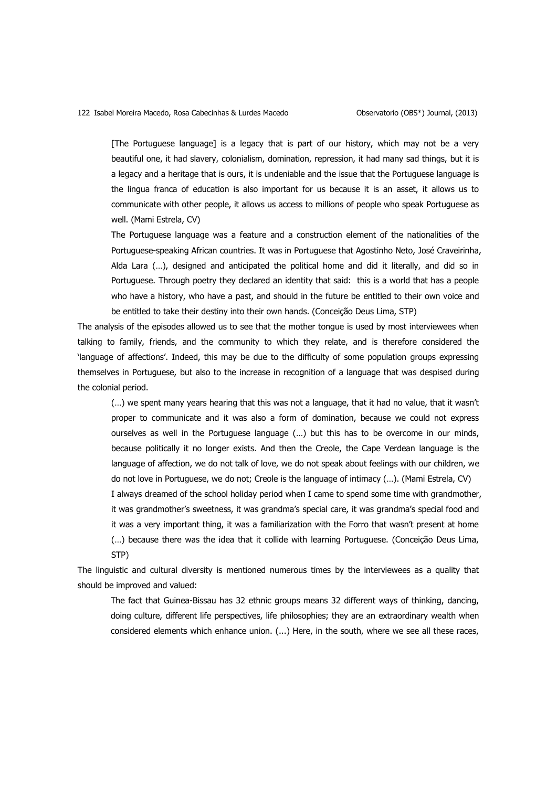[The Portuguese language] is a legacy that is part of our history, which may not be a very beautiful one, it had slavery, colonialism, domination, repression, it had many sad things, but it is a legacy and a heritage that is ours, it is undeniable and the issue that the Portuguese language is the lingua franca of education is also important for us because it is an asset, it allows us to communicate with other people, it allows us access to millions of people who speak Portuguese as well. (Mami Estrela, CV)

The Portuguese language was a feature and a construction element of the nationalities of the Portuguese-speaking African countries. It was in Portuguese that Agostinho Neto, José Craveirinha, Alda Lara (…), designed and anticipated the political home and did it literally, and did so in Portuguese. Through poetry they declared an identity that said: this is a world that has a people who have a history, who have a past, and should in the future be entitled to their own voice and be entitled to take their destiny into their own hands. (Conceição Deus Lima, STP)

The analysis of the episodes allowed us to see that the mother tongue is used by most interviewees when talking to family, friends, and the community to which they relate, and is therefore considered the 'language of affections'. Indeed, this may be due to the difficulty of some population groups expressing themselves in Portuguese, but also to the increase in recognition of a language that was despised during the colonial period.

(…) we spent many years hearing that this was not a language, that it had no value, that it wasn't proper to communicate and it was also a form of domination, because we could not express ourselves as well in the Portuguese language (…) but this has to be overcome in our minds, because politically it no longer exists. And then the Creole, the Cape Verdean language is the language of affection, we do not talk of love, we do not speak about feelings with our children, we do not love in Portuguese, we do not; Creole is the language of intimacy (…). (Mami Estrela, CV) I always dreamed of the school holiday period when I came to spend some time with grandmother, it was grandmother's sweetness, it was grandma's special care, it was grandma's special food and it was a very important thing, it was a familiarization with the Forro that wasn't present at home (…) because there was the idea that it collide with learning Portuguese. (Conceição Deus Lima, STP)

The linguistic and cultural diversity is mentioned numerous times by the interviewees as a quality that should be improved and valued:

The fact that Guinea-Bissau has 32 ethnic groups means 32 different ways of thinking, dancing, doing culture, different life perspectives, life philosophies; they are an extraordinary wealth when considered elements which enhance union. (...) Here, in the south, where we see all these races,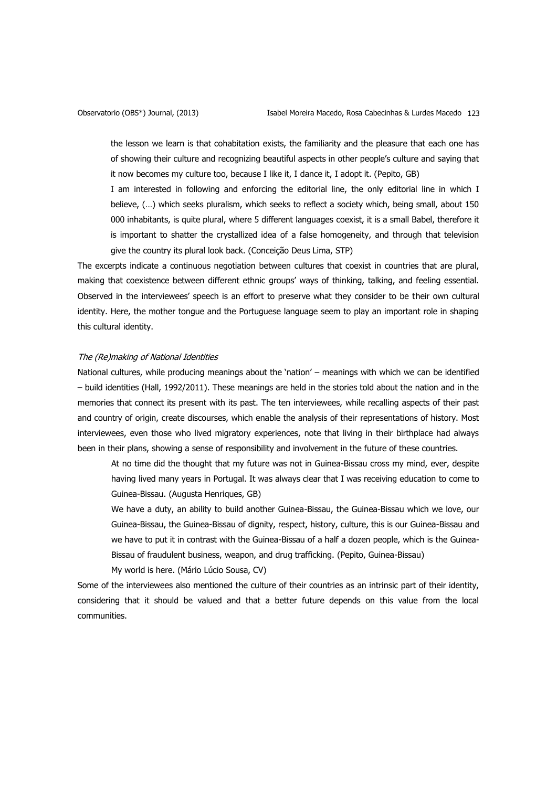the lesson we learn is that cohabitation exists, the familiarity and the pleasure that each one has of showing their culture and recognizing beautiful aspects in other people's culture and saying that it now becomes my culture too, because I like it, I dance it, I adopt it. (Pepito, GB)

I am interested in following and enforcing the editorial line, the only editorial line in which I believe, (…) which seeks pluralism, which seeks to reflect a society which, being small, about 150 000 inhabitants, is quite plural, where 5 different languages coexist, it is a small Babel, therefore it is important to shatter the crystallized idea of a false homogeneity, and through that television give the country its plural look back. (Conceição Deus Lima, STP)

The excerpts indicate a continuous negotiation between cultures that coexist in countries that are plural, making that coexistence between different ethnic groups' ways of thinking, talking, and feeling essential. Observed in the interviewees' speech is an effort to preserve what they consider to be their own cultural identity. Here, the mother tongue and the Portuguese language seem to play an important role in shaping this cultural identity.

# The (Re)making of National Identities

National cultures, while producing meanings about the 'nation' – meanings with which we can be identified – build identities (Hall, 1992/2011). These meanings are held in the stories told about the nation and in the memories that connect its present with its past. The ten interviewees, while recalling aspects of their past and country of origin, create discourses, which enable the analysis of their representations of history. Most interviewees, even those who lived migratory experiences, note that living in their birthplace had always been in their plans, showing a sense of responsibility and involvement in the future of these countries.

At no time did the thought that my future was not in Guinea-Bissau cross my mind, ever, despite having lived many years in Portugal. It was always clear that I was receiving education to come to Guinea-Bissau. (Augusta Henriques, GB)

We have a duty, an ability to build another Guinea-Bissau, the Guinea-Bissau which we love, our Guinea-Bissau, the Guinea-Bissau of dignity, respect, history, culture, this is our Guinea-Bissau and we have to put it in contrast with the Guinea-Bissau of a half a dozen people, which is the Guinea-Bissau of fraudulent business, weapon, and drug trafficking. (Pepito, Guinea-Bissau) My world is here. (Mário Lúcio Sousa, CV)

Some of the interviewees also mentioned the culture of their countries as an intrinsic part of their identity, considering that it should be valued and that a better future depends on this value from the local communities.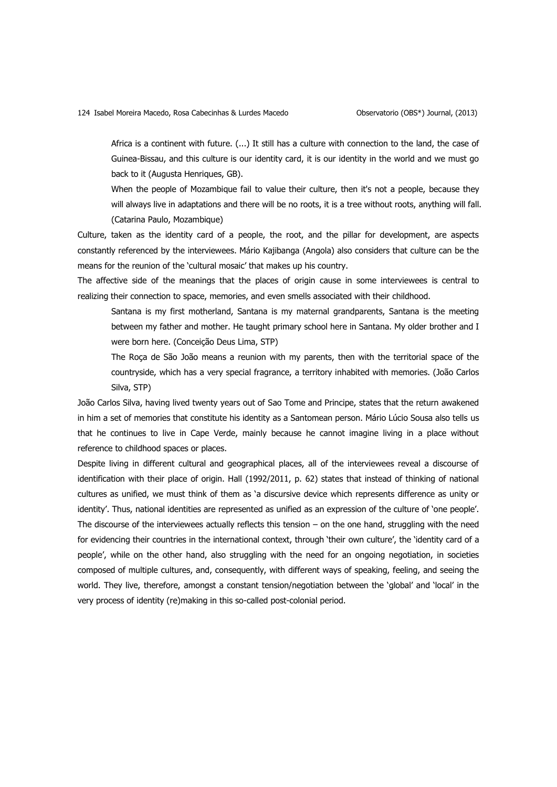Africa is a continent with future. (...) It still has a culture with connection to the land, the case of Guinea-Bissau, and this culture is our identity card, it is our identity in the world and we must go back to it (Augusta Henriques, GB).

When the people of Mozambique fail to value their culture, then it's not a people, because they will always live in adaptations and there will be no roots, it is a tree without roots, anything will fall. (Catarina Paulo, Mozambique)

Culture, taken as the identity card of a people, the root, and the pillar for development, are aspects constantly referenced by the interviewees. Mário Kajibanga (Angola) also considers that culture can be the means for the reunion of the 'cultural mosaic' that makes up his country.

The affective side of the meanings that the places of origin cause in some interviewees is central to realizing their connection to space, memories, and even smells associated with their childhood.

Santana is my first motherland, Santana is my maternal grandparents, Santana is the meeting between my father and mother. He taught primary school here in Santana. My older brother and I were born here. (Conceição Deus Lima, STP)

The Roça de São João means a reunion with my parents, then with the territorial space of the countryside, which has a very special fragrance, a territory inhabited with memories. (João Carlos Silva, STP)

João Carlos Silva, having lived twenty years out of Sao Tome and Principe, states that the return awakened in him a set of memories that constitute his identity as a Santomean person. Mário Lúcio Sousa also tells us that he continues to live in Cape Verde, mainly because he cannot imagine living in a place without reference to childhood spaces or places.

Despite living in different cultural and geographical places, all of the interviewees reveal a discourse of identification with their place of origin. Hall (1992/2011, p. 62) states that instead of thinking of national cultures as unified, we must think of them as 'a discursive device which represents difference as unity or identity'. Thus, national identities are represented as unified as an expression of the culture of 'one people'. The discourse of the interviewees actually reflects this tension  $-$  on the one hand, struggling with the need for evidencing their countries in the international context, through 'their own culture', the 'identity card of a people', while on the other hand, also struggling with the need for an ongoing negotiation, in societies composed of multiple cultures, and, consequently, with different ways of speaking, feeling, and seeing the world. They live, therefore, amongst a constant tension/negotiation between the 'global' and 'local' in the very process of identity (re)making in this so-called post-colonial period.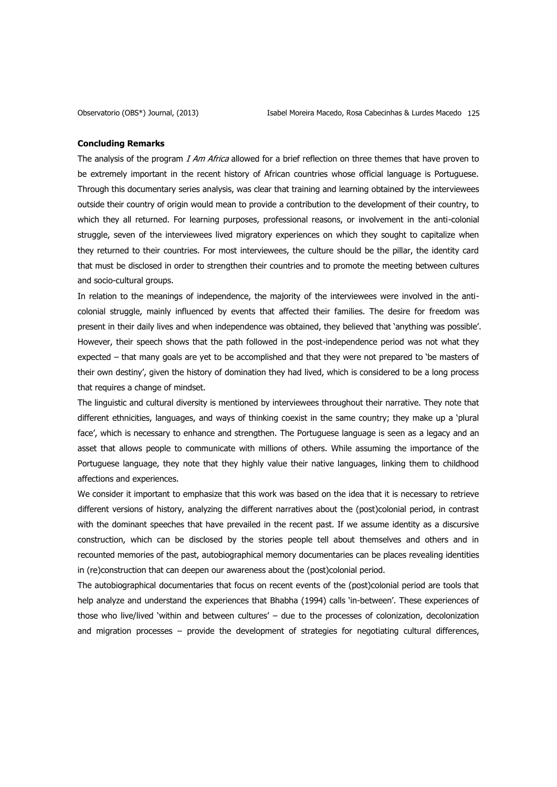#### **Concluding Remarks**

The analysis of the program I Am Africa allowed for a brief reflection on three themes that have proven to be extremely important in the recent history of African countries whose official language is Portuguese. Through this documentary series analysis, was clear that training and learning obtained by the interviewees outside their country of origin would mean to provide a contribution to the development of their country, to which they all returned. For learning purposes, professional reasons, or involvement in the anti-colonial struggle, seven of the interviewees lived migratory experiences on which they sought to capitalize when they returned to their countries. For most interviewees, the culture should be the pillar, the identity card that must be disclosed in order to strengthen their countries and to promote the meeting between cultures and socio-cultural groups.

In relation to the meanings of independence, the majority of the interviewees were involved in the anticolonial struggle, mainly influenced by events that affected their families. The desire for freedom was present in their daily lives and when independence was obtained, they believed that 'anything was possible'. However, their speech shows that the path followed in the post-independence period was not what they expected – that many goals are yet to be accomplished and that they were not prepared to 'be masters of their own destiny', given the history of domination they had lived, which is considered to be a long process that requires a change of mindset.

The linguistic and cultural diversity is mentioned by interviewees throughout their narrative. They note that different ethnicities, languages, and ways of thinking coexist in the same country; they make up a 'plural face', which is necessary to enhance and strengthen. The Portuguese language is seen as a legacy and an asset that allows people to communicate with millions of others. While assuming the importance of the Portuguese language, they note that they highly value their native languages, linking them to childhood affections and experiences.

We consider it important to emphasize that this work was based on the idea that it is necessary to retrieve different versions of history, analyzing the different narratives about the (post)colonial period, in contrast with the dominant speeches that have prevailed in the recent past. If we assume identity as a discursive construction, which can be disclosed by the stories people tell about themselves and others and in recounted memories of the past, autobiographical memory documentaries can be places revealing identities in (re)construction that can deepen our awareness about the (post)colonial period.

The autobiographical documentaries that focus on recent events of the (post)colonial period are tools that help analyze and understand the experiences that Bhabha (1994) calls 'in-between'. These experiences of those who live/lived 'within and between cultures' – due to the processes of colonization, decolonization and migration processes – provide the development of strategies for negotiating cultural differences,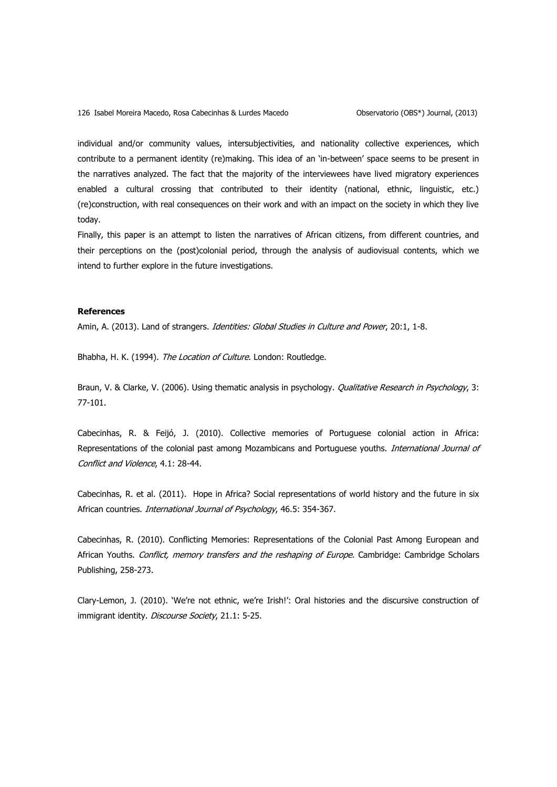126 Isabel Moreira Macedo, Rosa Cabecinhas & Lurdes Macedo **Capachias Constants** Observatorio (OBS\*) Journal, (2013)

individual and/or community values, intersubjectivities, and nationality collective experiences, which contribute to a permanent identity (re)making. This idea of an 'in-between' space seems to be present in the narratives analyzed. The fact that the majority of the interviewees have lived migratory experiences enabled a cultural crossing that contributed to their identity (national, ethnic, linguistic, etc.) (re)construction, with real consequences on their work and with an impact on the society in which they live today.

Finally, this paper is an attempt to listen the narratives of African citizens, from different countries, and their perceptions on the (post)colonial period, through the analysis of audiovisual contents, which we intend to further explore in the future investigations.

# **References**

Amin, A. (2013). Land of strangers. Identities: Global Studies in Culture and Power, 20:1, 1-8.

Bhabha, H. K. (1994). The Location of Culture. London: Routledge.

Braun, V. & Clarke, V. (2006). Using thematic analysis in psychology. *Qualitative Research in Psychology*, 3: 77-101.

Cabecinhas, R. & Feijó, J. (2010). Collective memories of Portuguese colonial action in Africa: Representations of the colonial past among Mozambicans and Portuguese youths. International Journal of Conflict and Violence, 4.1: 28-44.

Cabecinhas, R. et al. (2011). Hope in Africa? Social representations of world history and the future in six African countries. *International Journal of Psychology*, 46.5: 354-367.

Cabecinhas, R. (2010). Conflicting Memories: Representations of the Colonial Past Among European and African Youths. Conflict, memory transfers and the reshaping of Europe. Cambridge: Cambridge Scholars Publishing, 258-273.

Clary-Lemon, J. (2010). 'We're not ethnic, we're Irish!': Oral histories and the discursive construction of immigrant identity. Discourse Society, 21.1: 5-25.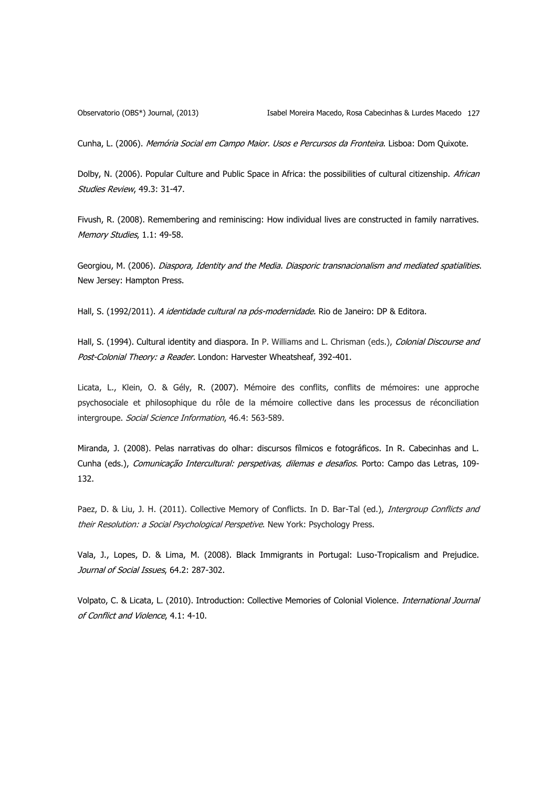Cunha, L. (2006). Memória Social em Campo Maior. Usos e Percursos da Fronteira. Lisboa: Dom Quixote.

Dolby, N. (2006). Popular Culture and Public Space in Africa: the possibilities of cultural citizenship. African Studies Review, 49.3: 31-47.

Fivush, R. (2008). Remembering and reminiscing: How individual lives are constructed in family narratives. Memory Studies, 1.1: 49-58.

Georgiou, M. (2006). Diaspora, Identity and the Media. Diasporic transnacionalism and mediated spatialities. New Jersey: Hampton Press.

Hall, S. (1992/2011). A identidade cultural na pós-modernidade. Rio de Janeiro: DP & Editora.

Hall, S. (1994). Cultural identity and diaspora. In P. Williams and L. Chrisman (eds.), Colonial Discourse and Post-Colonial Theory: a Reader. London: Harvester Wheatsheaf, 392-401.

Licata, L., Klein, O. & Gély, R. (2007). Mémoire des conflits, conflits de mémoires: une approche psychosociale et philosophique du rôle de la mémoire collective dans les processus de réconciliation intergroupe. Social Science Information, 46.4: 563-589.

Miranda, J. (2008). Pelas narrativas do olhar: discursos fílmicos e fotográficos. In R. Cabecinhas and L. Cunha (eds.), Comunicação Intercultural: perspetivas, dilemas e desafios. Porto: Campo das Letras, 109-132.

Paez, D. & Liu, J. H. (2011). Collective Memory of Conflicts. In D. Bar-Tal (ed.), *Intergroup Conflicts and* their Resolution: a Social Psychological Perspetive. New York: Psychology Press.

Vala, J., Lopes, D. & Lima, M. (2008). Black Immigrants in Portugal: Luso-Tropicalism and Prejudice. Journal of Social Issues, 64.2: 287-302.

Volpato, C. & Licata, L. (2010). Introduction: Collective Memories of Colonial Violence. International Journal of Conflict and Violence, 4.1: 4-10.